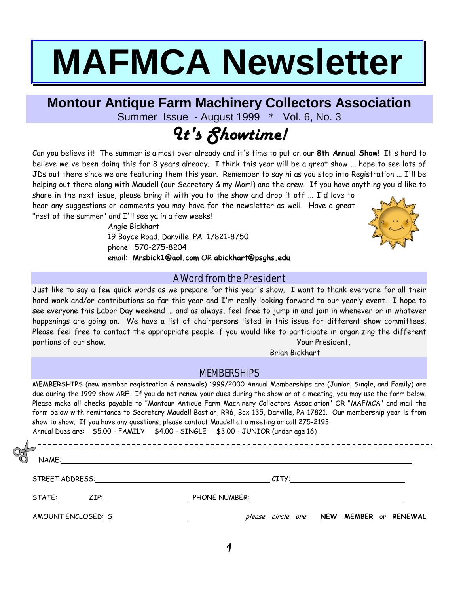# **MAFMCA Newsletter**

# **Montour Antique Farm Machinery Collectors Association**

Summer Issue - August 1999 \* Vol. 6, No. 3

# It's Showtime!

Can you believe it! The summer is almost over already and it's time to put on our **8th Annual Show**! It's hard to believe we've been doing this for 8 years already. I think this year will be a great show ... hope to see lots of JDs out there since we are featuring them this year. Remember to say hi as you stop into Registration ... I'll be helping out there along with Maudell (our Secretary & my Mom!) and the crew. If you have anything you'd like to share in the next issue, please bring it with you to the show and drop it off ... I'd love to

hear any suggestions or comments you may have for the newsletter as well. Have a great "rest of the summer" and I'll see ya in a few weeks!

> Angie Bickhart 19 Boyce Road, Danville, PA 17821-8750 phone: 570-275-8204 email: **Mrsbick1@aol.com** OR **abickhart@psghs.edu**



A Word from the President Just like to say a few quick words as we prepare for this year's show. I want to thank everyone for all their hard work and/or contributions so far this year and I'm really looking forward to our yearly event. I hope to see everyone this Labor Day weekend … and as always, feel free to jump in and join in whenever or in whatever happenings are going on. We have a list of chairpersons listed in this issue for different show committees. Please feel free to contact the appropriate people if you would like to participate in organizing the different portions of our show. The state of the state of the state of the state of the state of the state of the state o

Brian Bickhart

# MEMBERSHIPS

MEMBERSHIPS (new member registration & renewals) 1999/2000 Annual Memberships are (Junior, Single, and Family) are due during the 1999 show ARE. If you do not renew your dues during the show or at a meeting, you may use the form below. Please make all checks payable to "Montour Antique Farm Machinery Collectors Association" OR "MAFMCA" and mail the form below with remittance to Secretary Maudell Bostian, RR6, Box 135, Danville, PA 17821. Our membership year is from show to show. If you have any questions, please contact Maudell at a meeting or call 275-2193. Annual Dues are: \$5.00 - FAMILY \$4.00 - SINGLE \$3.00 - JUNIOR (under age 16)

| ╨<br>$\tilde{\bar{\delta}}$ ,<br>NAME:<br><u> 1989 - Andrea State Barbara, amerikan personal di sebagai personal di sebagai personal di sebagai personal di</u> |  |                                  |                |
|-----------------------------------------------------------------------------------------------------------------------------------------------------------------|--|----------------------------------|----------------|
|                                                                                                                                                                 |  | CITY:                            |                |
|                                                                                                                                                                 |  |                                  |                |
| AMOUNT ENCLOSED: \$                                                                                                                                             |  | please circle one: NEW MEMBER or | <b>RENEWAL</b> |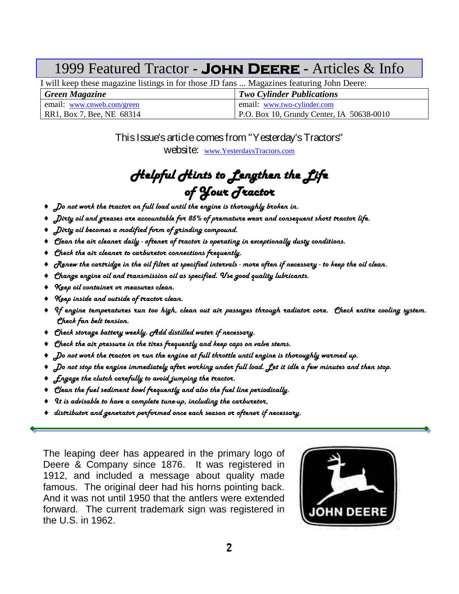# 1999 Featured Tractor **- John Deere -** Articles & Info

I will keep these magazine listings in for those JD fans ... Magazines featuring John Deere:

| <b>Green Magazine</b>      | <b>Two Cylinder Publications</b>          |
|----------------------------|-------------------------------------------|
| email: www.cnweb.com/green | email: www.two-cylinder.com               |
| RR1, Box 7, Bee, NE 68314  | P.O. Box 10, Grundy Center, IA 50638-0010 |

# This Issue's article comes from "Yesterday's Tractors"

website: [www.YesterdaysTractors.com](http://www.yesterdaystractors.com/)

# Helpful Hints to Lengthen the Life of Your Tractor

- ♦ Do not work the tractor on full load until the engine is thoroughly broken in.
- $\bullet$   $\:$  Dirty oil and greases are accountable for 85% of premature wear and consequent short tractor life.
- ♦ Dirty oil becomes a modified form of grinding compound.
- ♦ Clean the air cleaner daily oftener of tractor is operating in exceptionally dusty conditions.
- ♦ Check the air cleaner to carburetor connections frequently.
- $\diamond$   $\sigma$   $R$ enew the cartridge in the oil filter at specified intervals more often if necessary to keep the oil clean.
- ♦ Change engine oil and transmission oil as specified. Use good quality lubricants.
- ♦ Keep oil container or measures clean.
- ♦ Keep inside and outside of tractor clean.
- ♦ If engine temperatures run too high, clean out air passages through radiator core. Check entire cooling system. Check fan belt tension.
- ♦ Check storage battery weekly. Add distilled water if necessary.
- ♦ Check the air pressure in the tires frequently and keep caps on valve stems.
- $\blacklozenge$  Do not work the tractor or run the engine at full throttle until engine is thoroughly warmed up.
- ♦ Do not stop the engine immediately after working under full load. Let it idle a few minutes and then stop.
- $\bullet$  fingage the clutch carefully to avoid jumping the tractor.
- ♦ Clean the fuel sediment bowl frequently and also the fuel line periodically.
- ♦ It is advisable to have a complete tune-up, including the carburetor,
- ♦ distributor and generator performed once each season or oftener if necessary.

The leaping deer has appeared in the primary logo of Deere & Company since 1876. It was registered in 1912, and included a message about quality made famous. The original deer had his horns pointing back. And it was not until 1950 that the antlers were extended forward. The current trademark sign was registered in the U.S. in 1962.

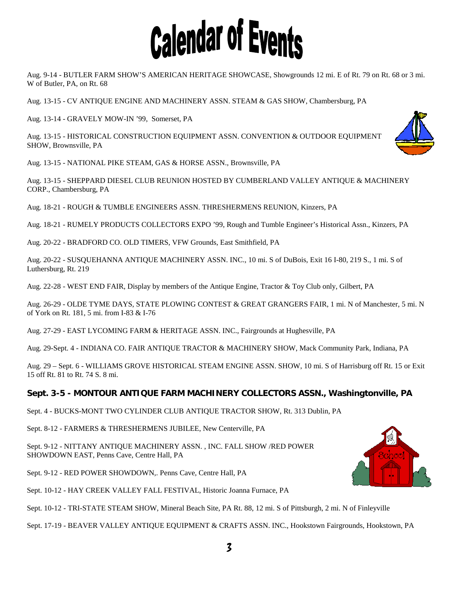# **Calendar of Events**

Aug. 9-14 - BUTLER FARM SHOW'S AMERICAN HERITAGE SHOWCASE, Showgrounds 12 mi. E of Rt. 79 on Rt. 68 or 3 mi. W of Butler, PA, on Rt. 68

Aug. 13-15 - CV ANTIQUE ENGINE AND MACHINERY ASSN. STEAM & GAS SHOW, Chambersburg, PA

Aug. 13-14 - GRAVELY MOW-IN '99, Somerset, PA

Aug. 13-15 - HISTORICAL CONSTRUCTION EQUIPMENT ASSN. CONVENTION & OUTDOOR EQUIPMENT SHOW, Brownsville, PA

Aug. 13-15 - NATIONAL PIKE STEAM, GAS & HORSE ASSN., Brownsville, PA

Aug. 13-15 - SHEPPARD DIESEL CLUB REUNION HOSTED BY CUMBERLAND VALLEY ANTIQUE & MACHINERY CORP., Chambersburg, PA

Aug. 18-21 - ROUGH & TUMBLE ENGINEERS ASSN. THRESHERMENS REUNION, Kinzers, PA

Aug. 18-21 - RUMELY PRODUCTS COLLECTORS EXPO '99, Rough and Tumble Engineer's Historical Assn., Kinzers, PA

Aug. 20-22 - BRADFORD CO. OLD TIMERS, VFW Grounds, East Smithfield, PA

Aug. 20-22 - SUSQUEHANNA ANTIQUE MACHINERY ASSN. INC., 10 mi. S of DuBois, Exit 16 I-80, 219 S., 1 mi. S of Luthersburg, Rt. 219

Aug. 22-28 - WEST END FAIR, Display by members of the Antique Engine, Tractor & Toy Club only, Gilbert, PA

Aug. 26-29 - OLDE TYME DAYS, STATE PLOWING CONTEST & GREAT GRANGERS FAIR, 1 mi. N of Manchester, 5 mi. N of York on Rt. 181, 5 mi. from I-83 & I-76

Aug. 27-29 - EAST LYCOMING FARM & HERITAGE ASSN. INC., Fairgrounds at Hughesville, PA

Aug. 29-Sept. 4 - INDIANA CO. FAIR ANTIQUE TRACTOR & MACHINERY SHOW, Mack Community Park, Indiana, PA

Aug. 29 – Sept. 6 - WILLIAMS GROVE HISTORICAL STEAM ENGINE ASSN. SHOW, 10 mi. S of Harrisburg off Rt. 15 or Exit 15 off Rt. 81 to Rt. 74 S. 8 mi.

# **Sept. 3-5 - MONTOUR ANTIQUE FARM MACHINERY COLLECTORS ASSN., Washingtonville, PA**

Sept. 4 - BUCKS-MONT TWO CYLINDER CLUB ANTIQUE TRACTOR SHOW, Rt. 313 Dublin, PA

Sept. 8-12 - FARMERS & THRESHERMENS JUBILEE, New Centerville, PA

Sept. 9-12 - NITTANY ANTIQUE MACHINERY ASSN. , INC. FALL SHOW /RED POWER SHOWDOWN EAST, Penns Cave, Centre Hall, PA

Sept. 9-12 - RED POWER SHOWDOWN,. Penns Cave, Centre Hall, PA

Sept. 10-12 - HAY CREEK VALLEY FALL FESTIVAL, Historic Joanna Furnace, PA

Sept. 10-12 - TRI-STATE STEAM SHOW, Mineral Beach Site, PA Rt. 88, 12 mi. S of Pittsburgh, 2 mi. N of Finleyville

Sept. 17-19 - BEAVER VALLEY ANTIQUE EQUIPMENT & CRAFTS ASSN. INC., Hookstown Fairgrounds, Hookstown, PA



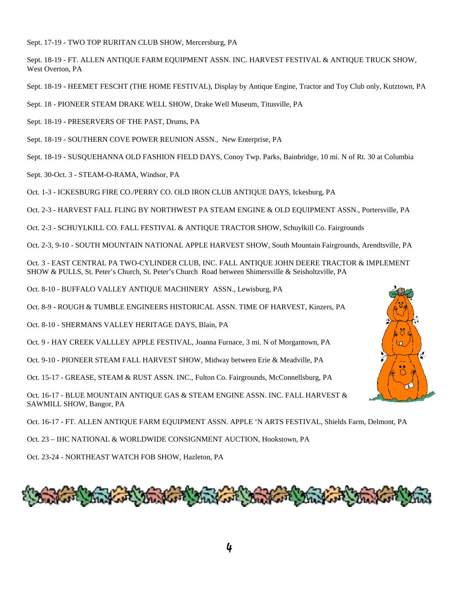Sept. 17-19 - TWO TOP RURITAN CLUB SHOW, Mercersburg, PA

Sept. 18-19 - FT. ALLEN ANTIQUE FARM EQUIPMENT ASSN. INC. HARVEST FESTIVAL & ANTIQUE TRUCK SHOW, West Overton, PA

Sept. 18-19 - HEEMET FESCHT (THE HOME FESTIVAL), Display by Antique Engine, Tractor and Toy Club only, Kutztown, PA

Sept. 18 - PIONEER STEAM DRAKE WELL SHOW, Drake Well Museum, Titusville, PA

Sept. 18-19 - PRESERVERS OF THE PAST, Drums, PA

Sept. 18-19 - SOUTHERN COVE POWER REUNION ASSN., New Enterprise, PA

Sept. 18-19 - SUSQUEHANNA OLD FASHION FIELD DAYS, Conoy Twp. Parks, Bainbridge, 10 mi. N of Rt. 30 at Columbia

Sept. 30-Oct. 3 - STEAM-O-RAMA, Windsor, PA

Oct. 1-3 - ICKESBURG FIRE CO./PERRY CO. OLD IRON CLUB ANTIQUE DAYS, Ickesburg, PA

Oct. 2-3 - HARVEST FALL FLING BY NORTHWEST PA STEAM ENGINE & OLD EQUIPMENT ASSN., Portersville, PA

Oct. 2-3 - SCHUYLKILL CO. FALL FESTIVAL & ANTIQUE TRACTOR SHOW, Schuylkill Co. Fairgrounds

Oct. 2-3, 9-10 - SOUTH MOUNTAIN NATIONAL APPLE HARVEST SHOW, South Mountain Fairgrounds, Arendtsville, PA

Oct. 3 - EAST CENTRAL PA TWO-CYLINDER CLUB, INC. FALL ANTIQUE JOHN DEERE TRACTOR & IMPLEMENT SHOW & PULLS, St. Peter's Church, St. Peter's Church Road between Shimersville & Seisholtzville, PA

Oct. 8-10 - BUFFALO VALLEY ANTIQUE MACHINERY ASSN., Lewisburg, PA

Oct. 8-9 - ROUGH & TUMBLE ENGINEERS HISTORICAL ASSN. TIME OF HARVEST, Kinzers, PA

Oct. 8-10 - SHERMANS VALLEY HERITAGE DAYS, Blain, PA

Oct. 9 - HAY CREEK VALLLEY APPLE FESTIVAL, Joanna Furnace, 3 mi. N of Morgantown, PA

Oct. 9-10 - PIONEER STEAM FALL HARVEST SHOW, Midway between Erie & Meadville, PA

Oct. 15-17 - GREASE, STEAM & RUST ASSN. INC., Fulton Co. Fairgrounds, McConnellsburg, PA

Oct. 16-17 - BLUE MOUNTAIN ANTIQUE GAS & STEAM ENGINE ASSN. INC. FALL HARVEST & SAWMILL SHOW, Bangor, PA

Oct. 16-17 - FT. ALLEN ANTIQUE FARM EQUIPMENT ASSN. APPLE 'N ARTS FESTIVAL, Shields Farm, Delmont, PA

Oct. 23 – IHC NATIONAL & WORLDWIDE CONSIGNMENT AUCTION, Hookstown, PA

Oct. 23-24 - NORTHEAST WATCH FOB SHOW, Hazleton, PA



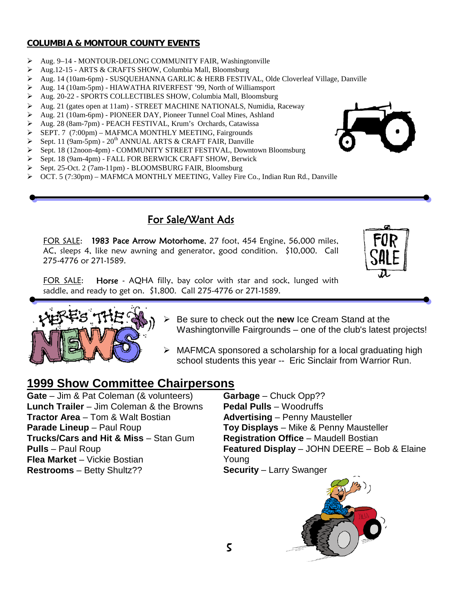# **COLUMBIA & MONTOUR COUNTY EVENTS**

- Aug. 9–14 MONTOUR-DELONG COMMUNITY FAIR, Washingtonville
- Aug.12-15 ARTS & CRAFTS SHOW, Columbia Mall, Bloomsburg
- Aug. 14 (10am-6pm) SUSQUEHANNA GARLIC & HERB FESTIVAL, Olde Cloverleaf Village, Danville
- Aug. 14 (10am-5pm) HIAWATHA RIVERFEST '99, North of Williamsport
- Aug. 20-22 SPORTS COLLECTIBLES SHOW, Columbia Mall, Bloomsburg
- Aug. 21 (gates open at 11am) STREET MACHINE NATIONALS, Numidia, Raceway
- Aug. 21 (10am-6pm) PIONEER DAY, Pioneer Tunnel Coal Mines, Ashland
- Aug. 28 (8am-7pm) PEACH FESTIVAL, Krum's Orchards, Catawissa
- SEPT. 7 (7:00pm) MAFMCA MONTHLY MEETING, Fairgrounds
- $\triangleright$  Sept. 11 (9am-5pm) 20<sup>th</sup> ANNUAL ARTS & CRAFT FAIR, Danville
- Sept. 18 (12noon-4pm) COMMUNITY STREET FESTIVAL, Downtown Bloomsburg
- Sept. 18 (9am-4pm) FALL FOR BERWICK CRAFT SHOW, Berwick
- Sept. 25-Oct. 2 (7am-11pm) BLOOMSBURG FAIR, Bloomsburg
- OCT. 5 (7:30pm) MAFMCA MONTHLY MEETING, Valley Fire Co., Indian Run Rd., Danville

# For Sale/Want Ads

FOR SALE: 1983 Pace Arrow Motorhome, 27 foot, 454 Engine, 56,000 miles, AC, sleeps 4, like new awning and generator, good condition. \$10,000. Call 275-4776 or 271-1589.

FOR SALE: Horse - AQHA filly, bay color with star and sock, lunged with saddle, and ready to get on. \$1,800. Call 275-4776 or 271-1589.



- **Example 3 Exercise Standard Procedy Figure 2 Be sure to check out the New Standard the Standard Standard Standard Standard Standard Standard Standard Standard Standard Standard Standard Standard Standard Standard Standar** Washingtonville Fairgrounds – one of the club's latest projects!
- $\triangleright$  MAFMCA sponsored a scholarship for a local graduating high school students this year -- Eric Sinclair from Warrior Run.

# **1999 Show Committee Chairpersons**

**Gate** – Jim & Pat Coleman (& volunteers) **Lunch Trailer** – Jim Coleman & the Browns **Tractor Area** – Tom & Walt Bostian **Parade Lineup** – Paul Roup **Trucks/Cars and Hit & Miss** – Stan Gum **Pulls** – Paul Roup **Flea Market** – Vickie Bostian **Restrooms** – Betty Shultz??

**Garbage** – Chuck Opp?? **Pedal Pulls** – Woodruffs **Advertising** – Penny Mausteller **Toy Displays** – Mike & Penny Mausteller **Registration Office** – Maudell Bostian **Featured Display** – JOHN DEERE – Bob & Elaine Young **Security** – Larry Swanger